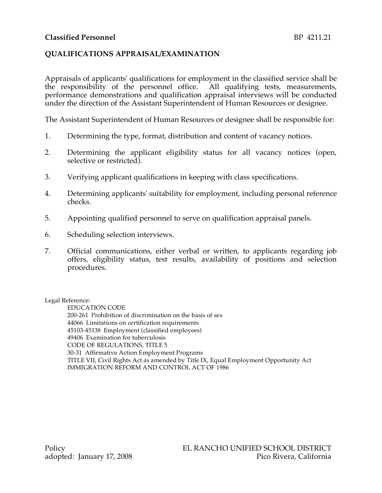## **QUALIFICATIONS APPRAISAL/EXAMINATION**

Appraisals of applicants' qualifications for employment in the classified service shall be the responsibility of the personnel office. All qualifying tests, measurements, performance demonstrations and qualification appraisal interviews will be conducted under the direction of the Assistant Superintendent of Human Resources or designee.

The Assistant Superintendent of Human Resources or designee shall be responsible for:

- 1. Determining the type, format, distribution and content of vacancy notices.
- 2. Determining the applicant eligibility status for all vacancy notices (open, selective or restricted).
- 3. Verifying applicant qualifications in keeping with class specifications.
- 4. Determining applicants' suitability for employment, including personal reference checks.
- 5. Appointing qualified personnel to serve on qualification appraisal panels.
- 6. Scheduling selection interviews.
- 7. Official communications, either verbal or written, to applicants regarding job offers, eligibility status, test results, availability of positions and selection procedures.

#### Legal Reference:

EDUCATION CODE 200-261 Prohibition of discrimination on the basis of sex 44066 Limitations on certification requirements 45103-45138 Employment (classified employees) 49406 Examination for tuberculosis CODE OF REGULATIONS, TITLE 5 30-31 Affirmative Action Employment Programs TITLE VII, Civil Rights Act as amended by Title IX, Equal Employment Opportunity Act IMMIGRATION REFORM AND CONTROL ACT OF 1986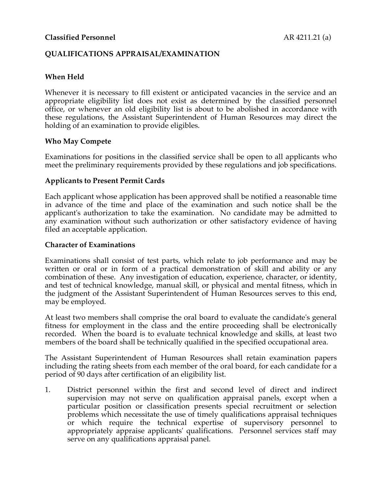### **Classified Personnel AR 4211.21** (a)

### **QUALIFICATIONS APPRAISAL/EXAMINATION**

## **When Held**

Whenever it is necessary to fill existent or anticipated vacancies in the service and an appropriate eligibility list does not exist as determined by the classified personnel office, or whenever an old eligibility list is about to be abolished in accordance with these regulations, the Assistant Superintendent of Human Resources may direct the holding of an examination to provide eligibles.

### **Who May Compete**

Examinations for positions in the classified service shall be open to all applicants who meet the preliminary requirements provided by these regulations and job specifications.

#### **Applicants to Present Permit Cards**

Each applicant whose application has been approved shall be notified a reasonable time in advance of the time and place of the examination and such notice shall be the applicant's authorization to take the examination. No candidate may be admitted to any examination without such authorization or other satisfactory evidence of having filed an acceptable application.

#### **Character of Examinations**

Examinations shall consist of test parts, which relate to job performance and may be written or oral or in form of a practical demonstration of skill and ability or any combination of these. Any investigation of education, experience, character, or identity, and test of technical knowledge, manual skill, or physical and mental fitness, which in the judgment of the Assistant Superintendent of Human Resources serves to this end, may be employed.

At least two members shall comprise the oral board to evaluate the candidate's general fitness for employment in the class and the entire proceeding shall be electronically recorded. When the board is to evaluate technical knowledge and skills, at least two members of the board shall be technically qualified in the specified occupational area.

The Assistant Superintendent of Human Resources shall retain examination papers including the rating sheets from each member of the oral board, for each candidate for a period of 90 days after certification of an eligibility list.

1. District personnel within the first and second level of direct and indirect supervision may not serve on qualification appraisal panels, except when a particular position or classification presents special recruitment or selection problems which necessitate the use of timely qualifications appraisal techniques or which require the technical expertise of supervisory personnel to appropriately appraise applicants' qualifications. Personnel services staff may serve on any qualifications appraisal panel.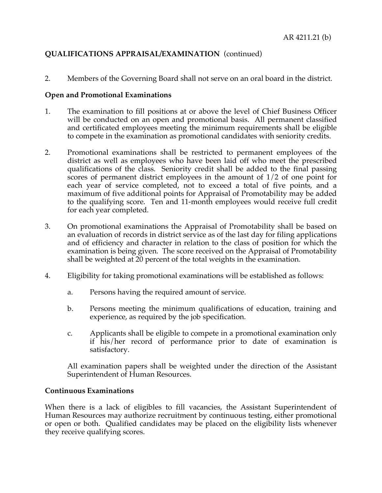# **QUALIFICATIONS APPRAISAL/EXAMINATION** (continued)

2. Members of the Governing Board shall not serve on an oral board in the district.

### **Open and Promotional Examinations**

- 1. The examination to fill positions at or above the level of Chief Business Officer will be conducted on an open and promotional basis. All permanent classified and certificated employees meeting the minimum requirements shall be eligible to compete in the examination as promotional candidates with seniority credits.
- 2. Promotional examinations shall be restricted to permanent employees of the district as well as employees who have been laid off who meet the prescribed qualifications of the class. Seniority credit shall be added to the final passing scores of permanent district employees in the amount of 1/2 of one point for each year of service completed, not to exceed a total of five points, and a maximum of five additional points for Appraisal of Promotability may be added to the qualifying score. Ten and 11-month employees would receive full credit for each year completed.
- 3. On promotional examinations the Appraisal of Promotability shall be based on an evaluation of records in district service as of the last day for filing applications and of efficiency and character in relation to the class of position for which the examination is being given. The score received on the Appraisal of Promotability shall be weighted at 20 percent of the total weights in the examination.
- 4. Eligibility for taking promotional examinations will be established as follows:
	- a. Persons having the required amount of service.
	- b. Persons meeting the minimum qualifications of education, training and experience, as required by the job specification.
	- c. Applicants shall be eligible to compete in a promotional examination only if his/her record of performance prior to date of examination is satisfactory.

All examination papers shall be weighted under the direction of the Assistant Superintendent of Human Resources.

#### **Continuous Examinations**

When there is a lack of eligibles to fill vacancies, the Assistant Superintendent of Human Resources may authorize recruitment by continuous testing, either promotional or open or both. Qualified candidates may be placed on the eligibility lists whenever they receive qualifying scores.